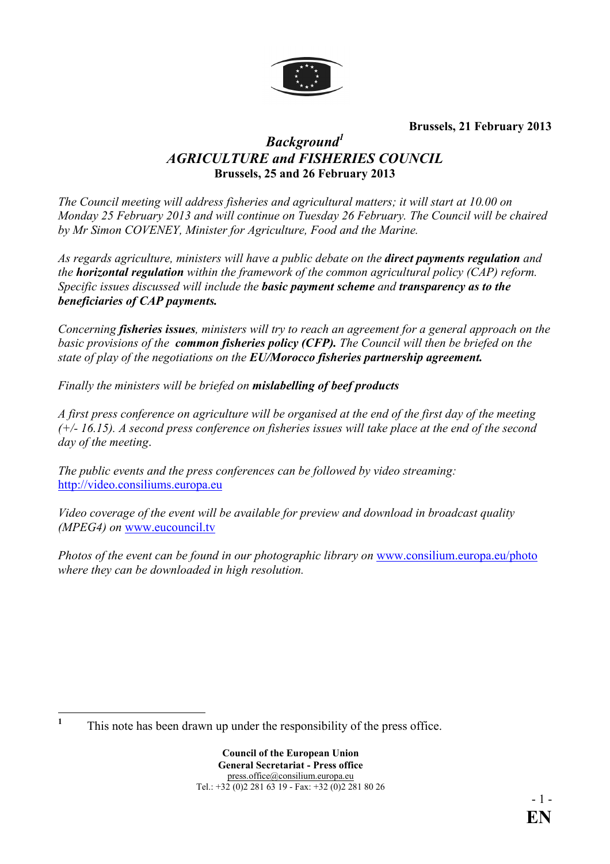

**Brussels, 21 February 2013**

# *Background<sup>1</sup>* **AGRICULTURE and FISHERIES COUNCIL Brussels, 25 and 26 February 2013**

*The Council meeting will address fisheries and agricultural matters; it will start at 10.00 on Monday 25 February 2013 and will continue on Tuesday 26 February. The Council will be chaired*  by Mr Simon COVENEY, Minister for Agriculture, Food and the Marine.

*As regards agriculture, ministers will have a public debate on the direct payments regulation and the horizontal regulation within the framework of the common agricultural policy (CAP) reform. Specific issues discussed will include the basic payment scheme and transparency as to the beneficiaries of CAP payments.* 

*Concerning fisheries issues, ministers will try to reach an agreement for a general approach on the basic provisions of the common fisheries policy (CFP). The Council will then be briefed on the state of play of the negotiations on the EU/Morocco fisheries partnership agreement.* 

*Finally the ministers will be briefed on mislabelling of beef products* 

*A first press conference on agriculture will be organised at the end of the first day of the meeting (+/- 16.15). A second press conference on fisheries issues will take place at the end of the second day of the meeting*.

*The public events and the press conferences can be followed by video streaming:*  http://video.consiliums[.europa.](http://video.consilium.europa.eu/)eu

*Video coverage of the event will be available for preview and download in broadcast quality (MPEG4) on* [www.eucouncil.tv](http://www.eucouncil.tv/)

*Photos of the event can be found in our photographic library on [www.consilium.europa.eu/photo](http://www.consilium.europa.eu/photo) where they can be downloaded in high resolution.* 

 **1** This note has been drawn up under the responsibility of the press office.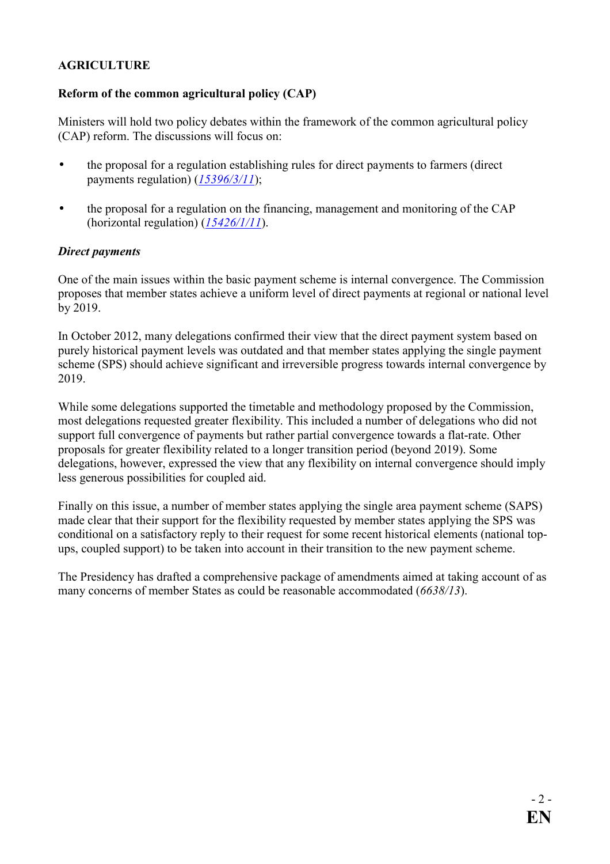### **AGRICULTURE**

### **Reform of the common agricultural policy (CAP)**

Ministers will hold two policy debates within the framework of the common agricultural policy (CAP) reform. The discussions will focus on:

- the proposal for a regulation establishing rules for direct payments to farmers (direct payments regulation) (*[15396/3/11](http://register.consilium.europa.eu/pdf/en/11/st15/st15396-re03.en11.pdf)*);
- the proposal for a regulation on the financing, management and monitoring of the CAP (horizontal regulation) (*[15426/1/11](http://register.consilium.europa.eu/pdf/en/11/st15/st15426-re01.en11.pdf)*).

#### *Direct payments*

One of the main issues within the basic payment scheme is internal convergence. The Commission proposes that member states achieve a uniform level of direct payments at regional or national level by 2019.

In October 2012, many delegations confirmed their view that the direct payment system based on purely historical payment levels was outdated and that member states applying the single payment scheme (SPS) should achieve significant and irreversible progress towards internal convergence by 2019.

While some delegations supported the timetable and methodology proposed by the Commission, most delegations requested greater flexibility. This included a number of delegations who did not support full convergence of payments but rather partial convergence towards a flat-rate. Other proposals for greater flexibility related to a longer transition period (beyond 2019). Some delegations, however, expressed the view that any flexibility on internal convergence should imply less generous possibilities for coupled aid.

Finally on this issue, a number of member states applying the single area payment scheme (SAPS) made clear that their support for the flexibility requested by member states applying the SPS was conditional on a satisfactory reply to their request for some recent historical elements (national topups, coupled support) to be taken into account in their transition to the new payment scheme.

The Presidency has drafted a comprehensive package of amendments aimed at taking account of as many concerns of member States as could be reasonable accommodated (*6638/13*).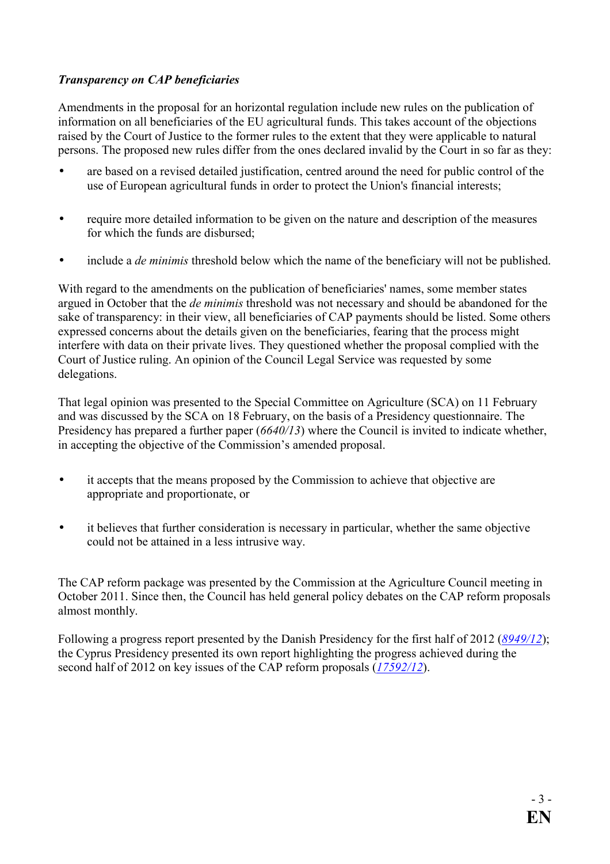## *Transparency on CAP beneficiaries*

Amendments in the proposal for an horizontal regulation include new rules on the publication of information on all beneficiaries of the EU agricultural funds. This takes account of the objections raised by the Court of Justice to the former rules to the extent that they were applicable to natural persons. The proposed new rules differ from the ones declared invalid by the Court in so far as they:

- are based on a revised detailed justification, centred around the need for public control of the use of European agricultural funds in order to protect the Union's financial interests;
- require more detailed information to be given on the nature and description of the measures for which the funds are disbursed;
- include a *de minimis* threshold below which the name of the beneficiary will not be published.

With regard to the amendments on the publication of beneficiaries' names, some member states argued in October that the *de minimis* threshold was not necessary and should be abandoned for the sake of transparency: in their view, all beneficiaries of CAP payments should be listed. Some others expressed concerns about the details given on the beneficiaries, fearing that the process might interfere with data on their private lives. They questioned whether the proposal complied with the Court of Justice ruling. An opinion of the Council Legal Service was requested by some delegations.

That legal opinion was presented to the Special Committee on Agriculture (SCA) on 11 February and was discussed by the SCA on 18 February, on the basis of a Presidency questionnaire. The Presidency has prepared a further paper (*6640/13*) where the Council is invited to indicate whether, in accepting the objective of the Commission's amended proposal.

- it accepts that the means proposed by the Commission to achieve that objective are appropriate and proportionate, or
- it believes that further consideration is necessary in particular, whether the same objective could not be attained in a less intrusive way.

The CAP reform package was presented by the Commission at the Agriculture Council meeting in October 2011. Since then, the Council has held general policy debates on the CAP reform proposals almost monthly.

Following a progress report presented by the Danish Presidency for the first half of 2012 (*[8949/12](http://register.consilium.europa.eu/pdf/en/12/st08/st08949.en12.pdf)*); the Cyprus Presidency presented its own report highlighting the progress achieved during the second half of 2012 on key issues of the CAP reform proposals (*[17592/12](http://register.consilium.europa.eu/pdf/en/12/st17/st17592.en12.pdf)*).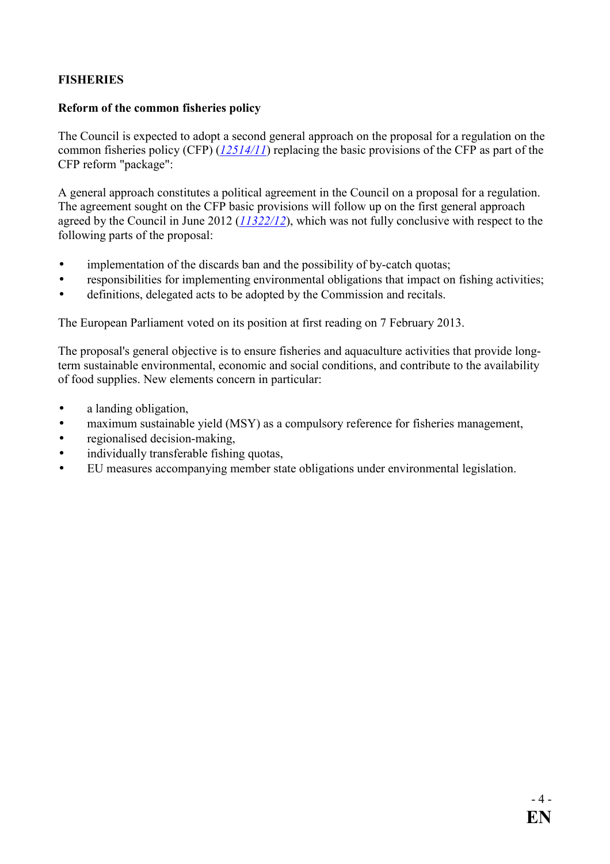## **FISHERIES**

### **Reform of the common fisheries policy**

The Council is expected to adopt a second general approach on the proposal for a regulation on the common fisheries policy (CFP) (*[12514/11](http://register.consilium.europa.eu/pdf/en/11/st12/st12514.en11.pdf)*) replacing the basic provisions of the CFP as part of the CFP reform "package":

A general approach constitutes a political agreement in the Council on a proposal for a regulation. The agreement sought on the CFP basic provisions will follow up on the first general approach agreed by the Council in June 2012 (*[11322/12](http://register.consilium.europa.eu/pdf/en/12/st11/st11322.en12.pdf)*), which was not fully conclusive with respect to the following parts of the proposal:

- implementation of the discards ban and the possibility of by-catch quotas;
- responsibilities for implementing environmental obligations that impact on fishing activities;
- definitions, delegated acts to be adopted by the Commission and recitals.

The European Parliament voted on its position at first reading on 7 February 2013.

The proposal's general objective is to ensure fisheries and aquaculture activities that provide longterm sustainable environmental, economic and social conditions, and contribute to the availability of food supplies. New elements concern in particular:

- a landing obligation,
- maximum sustainable yield (MSY) as a compulsory reference for fisheries management,
- regionalised decision-making,
- individually transferable fishing quotas,
- EU measures accompanying member state obligations under environmental legislation.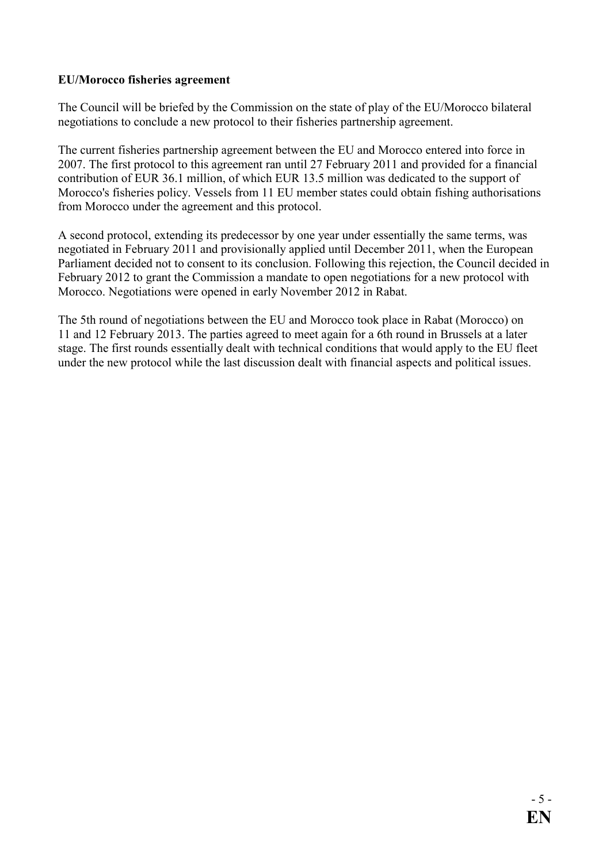### **EU/Morocco fisheries agreement**

The Council will be briefed by the Commission on the state of play of the EU/Morocco bilateral negotiations to conclude a new protocol to their fisheries partnership agreement.

The current fisheries partnership agreement between the EU and Morocco entered into force in 2007. The first protocol to this agreement ran until 27 February 2011 and provided for a financial contribution of EUR 36.1 million, of which EUR 13.5 million was dedicated to the support of Morocco's fisheries policy. Vessels from 11 EU member states could obtain fishing authorisations from Morocco under the agreement and this protocol.

A second protocol, extending its predecessor by one year under essentially the same terms, was negotiated in February 2011 and provisionally applied until December 2011, when the European Parliament decided not to consent to its conclusion. Following this rejection, the Council decided in February 2012 to grant the Commission a mandate to open negotiations for a new protocol with Morocco. Negotiations were opened in early November 2012 in Rabat.

The 5th round of negotiations between the EU and Morocco took place in Rabat (Morocco) on 11 and 12 February 2013. The parties agreed to meet again for a 6th round in Brussels at a later stage. The first rounds essentially dealt with technical conditions that would apply to the EU fleet under the new protocol while the last discussion dealt with financial aspects and political issues.